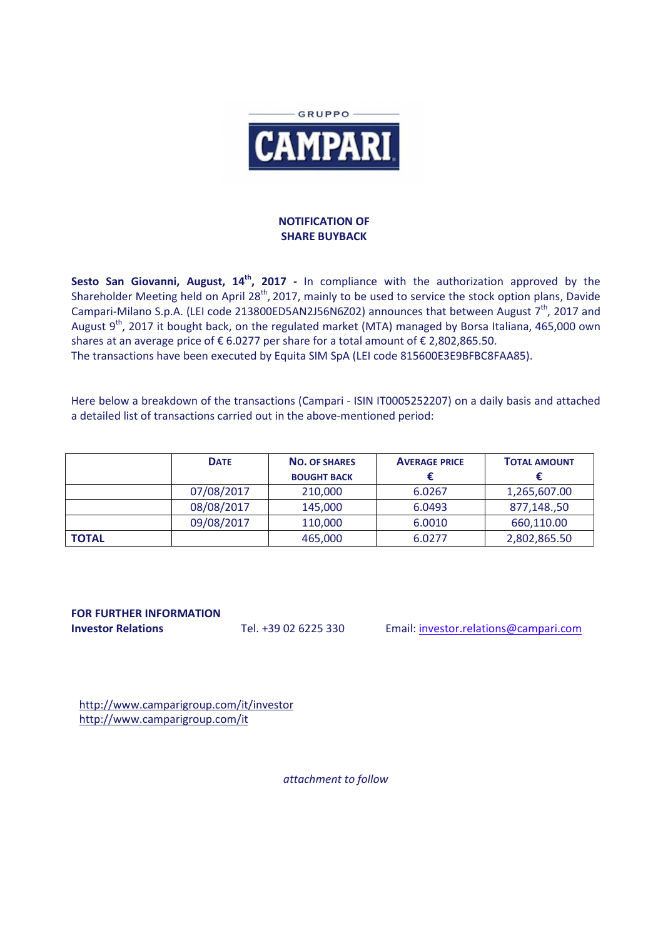

## **NOTIFICATION OF SHARE BUYBACK**

Sesto San Giovanni, August, 14<sup>th</sup>, 2017 - In compliance with the authorization approved by the Shareholder Meeting held on April 28<sup>th</sup>, 2017, mainly to be used to service the stock option plans, Davide Campari-Milano S.p.A. (LEI code 213800ED5AN2J56N6Z02) announces that between August  $7<sup>th</sup>$ , 2017 and August  $9<sup>th</sup>$ , 2017 it bought back, on the regulated market (MTA) managed by Borsa Italiana, 465,000 own shares at an average price of  $\epsilon$  6.0277 per share for a total amount of  $\epsilon$  2,802,865.50. The transactions have been executed by Equita SIM SpA (LEI code 815600E3E9BFBC8FAA85).

Here below a breakdown of the transactions (Campari - ISIN IT0005252207) on a daily basis and attached a detailed list of transactions carried out in the above-mentioned period:

|              | <b>DATE</b> | <b>NO. OF SHARES</b> | <b>AVERAGE PRICE</b> | <b>TOTAL AMOUNT</b> |
|--------------|-------------|----------------------|----------------------|---------------------|
|              |             | <b>BOUGHT BACK</b>   |                      |                     |
|              | 07/08/2017  | 210,000              | 6.0267               | 1,265,607.00        |
|              | 08/08/2017  | 145,000              | 6.0493               | 877,148.,50         |
|              | 09/08/2017  | 110,000              | 6.0010               | 660,110.00          |
| <b>TOTAL</b> |             | 465,000              | 6.0277               | 2,802,865.50        |

## **FOR FURTHER INFORMATION**

**Investor Relations** Tel. +39 02 6225 330 Email: investor.relations@campari.com

http://www.camparigroup.com/it/investor http://www.camparigroup.com/it

*attachment to follow*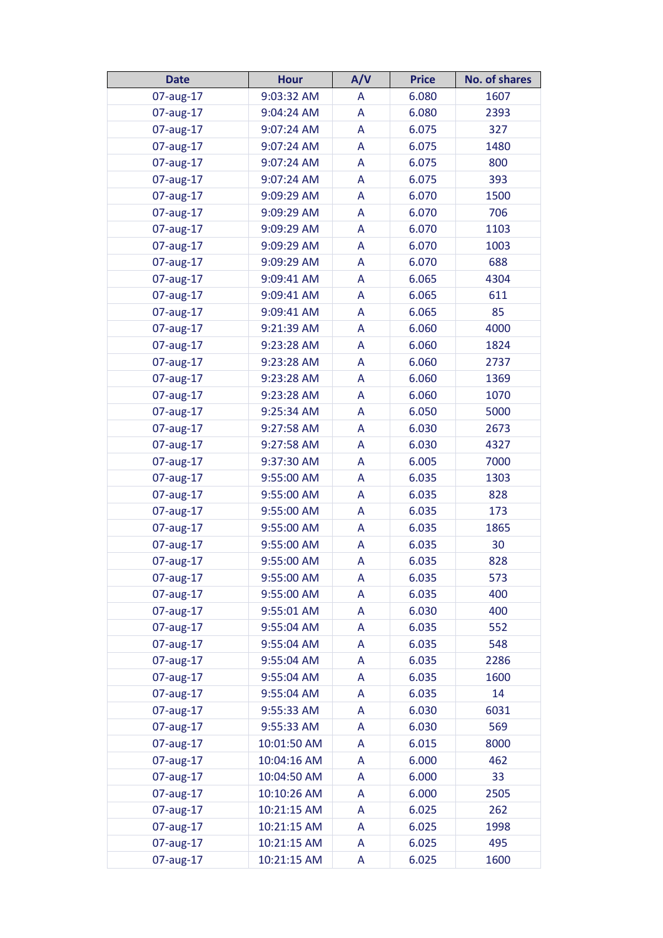| <b>Date</b> | <b>Hour</b> | A/V | <b>Price</b> | <b>No. of shares</b> |
|-------------|-------------|-----|--------------|----------------------|
| 07-aug-17   | 9:03:32 AM  | A   | 6.080        | 1607                 |
| 07-aug-17   | 9:04:24 AM  | A   | 6.080        | 2393                 |
| 07-aug-17   | 9:07:24 AM  | A   | 6.075        | 327                  |
| 07-aug-17   | 9:07:24 AM  | A   | 6.075        | 1480                 |
| 07-aug-17   | 9:07:24 AM  | A   | 6.075        | 800                  |
| 07-aug-17   | 9:07:24 AM  | A   | 6.075        | 393                  |
| 07-aug-17   | 9:09:29 AM  | A   | 6.070        | 1500                 |
| 07-aug-17   | 9:09:29 AM  | A   | 6.070        | 706                  |
| 07-aug-17   | 9:09:29 AM  | A   | 6.070        | 1103                 |
| 07-aug-17   | 9:09:29 AM  | A   | 6.070        | 1003                 |
| 07-aug-17   | 9:09:29 AM  | A   | 6.070        | 688                  |
| 07-aug-17   | 9:09:41 AM  | A   | 6.065        | 4304                 |
| 07-aug-17   | 9:09:41 AM  | A   | 6.065        | 611                  |
| 07-aug-17   | 9:09:41 AM  | A   | 6.065        | 85                   |
| 07-aug-17   | 9:21:39 AM  | A   | 6.060        | 4000                 |
| 07-aug-17   | 9:23:28 AM  | A   | 6.060        | 1824                 |
| 07-aug-17   | 9:23:28 AM  | A   | 6.060        | 2737                 |
| 07-aug-17   | 9:23:28 AM  | A   | 6.060        | 1369                 |
| 07-aug-17   | 9:23:28 AM  | A   | 6.060        | 1070                 |
| 07-aug-17   | 9:25:34 AM  | A   | 6.050        | 5000                 |
| 07-aug-17   | 9:27:58 AM  | A   | 6.030        | 2673                 |
| 07-aug-17   | 9:27:58 AM  | A   | 6.030        | 4327                 |
| 07-aug-17   | 9:37:30 AM  | A   | 6.005        | 7000                 |
| 07-aug-17   | 9:55:00 AM  | A   | 6.035        | 1303                 |
| 07-aug-17   | 9:55:00 AM  | A   | 6.035        | 828                  |
| 07-aug-17   | 9:55:00 AM  | A   | 6.035        | 173                  |
| 07-aug-17   | 9:55:00 AM  | A   | 6.035        | 1865                 |
| 07-aug-17   | 9:55:00 AM  | A   | 6.035        | 30                   |
| 07-aug-17   | 9:55:00 AM  | A   | 6.035        | 828                  |
| 07-aug-17   | 9:55:00 AM  | A   | 6.035        | 573                  |
| 07-aug-17   | 9:55:00 AM  | A   | 6.035        | 400                  |
| 07-aug-17   | 9:55:01 AM  | A   | 6.030        | 400                  |
| 07-aug-17   | 9:55:04 AM  | A   | 6.035        | 552                  |
| 07-aug-17   | 9:55:04 AM  | A   | 6.035        | 548                  |
| 07-aug-17   | 9:55:04 AM  | A   | 6.035        | 2286                 |
| 07-aug-17   | 9:55:04 AM  | A   | 6.035        | 1600                 |
| 07-aug-17   | 9:55:04 AM  | A   | 6.035        | 14                   |
| 07-aug-17   | 9:55:33 AM  | A   | 6.030        | 6031                 |
| 07-aug-17   | 9:55:33 AM  | A   | 6.030        | 569                  |
| 07-aug-17   | 10:01:50 AM | A   | 6.015        | 8000                 |
| 07-aug-17   | 10:04:16 AM | A   | 6.000        | 462                  |
| 07-aug-17   | 10:04:50 AM | A   | 6.000        | 33                   |
| 07-aug-17   | 10:10:26 AM | A   | 6.000        | 2505                 |
| 07-aug-17   | 10:21:15 AM | A   | 6.025        | 262                  |
| 07-aug-17   | 10:21:15 AM | A   | 6.025        | 1998                 |
| 07-aug-17   | 10:21:15 AM | A   | 6.025        | 495                  |
| 07-aug-17   | 10:21:15 AM | A   | 6.025        | 1600                 |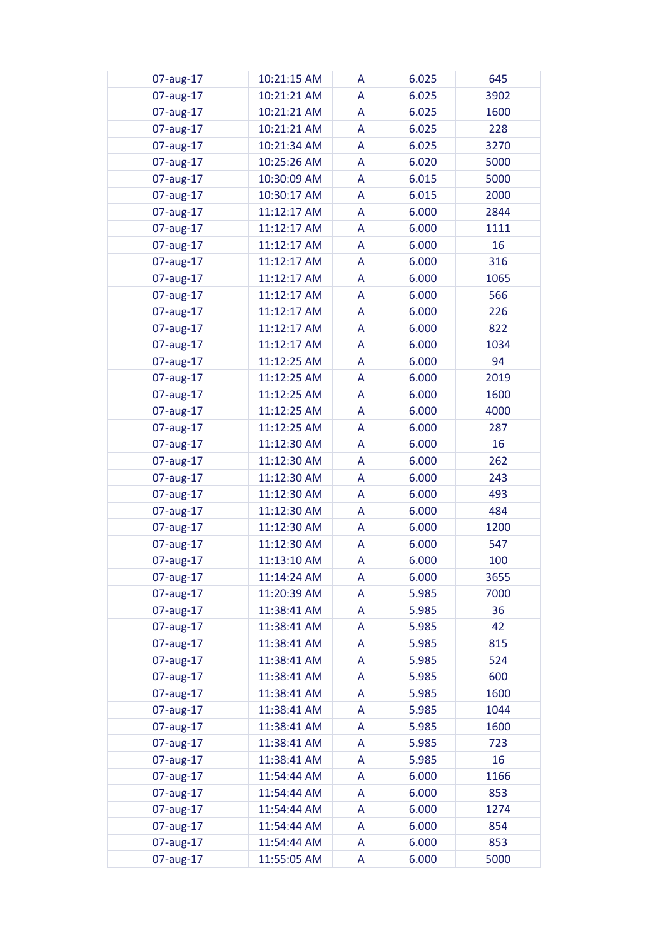| 07-aug-17 | 10:21:15 AM | A | 6.025 | 645  |
|-----------|-------------|---|-------|------|
| 07-aug-17 | 10:21:21 AM | A | 6.025 | 3902 |
| 07-aug-17 | 10:21:21 AM | A | 6.025 | 1600 |
| 07-aug-17 | 10:21:21 AM | A | 6.025 | 228  |
| 07-aug-17 | 10:21:34 AM | A | 6.025 | 3270 |
| 07-aug-17 | 10:25:26 AM | A | 6.020 | 5000 |
| 07-aug-17 | 10:30:09 AM | A | 6.015 | 5000 |
| 07-aug-17 | 10:30:17 AM | A | 6.015 | 2000 |
| 07-aug-17 | 11:12:17 AM | A | 6.000 | 2844 |
| 07-aug-17 | 11:12:17 AM | A | 6.000 | 1111 |
| 07-aug-17 | 11:12:17 AM | A | 6.000 | 16   |
| 07-aug-17 | 11:12:17 AM | A | 6.000 | 316  |
| 07-aug-17 | 11:12:17 AM | A | 6.000 | 1065 |
| 07-aug-17 | 11:12:17 AM | A | 6.000 | 566  |
| 07-aug-17 | 11:12:17 AM | A | 6.000 | 226  |
|           | 11:12:17 AM | A | 6.000 | 822  |
| 07-aug-17 |             |   |       | 1034 |
| 07-aug-17 | 11:12:17 AM | A | 6.000 |      |
| 07-aug-17 | 11:12:25 AM | A | 6.000 | 94   |
| 07-aug-17 | 11:12:25 AM | A | 6.000 | 2019 |
| 07-aug-17 | 11:12:25 AM | A | 6.000 | 1600 |
| 07-aug-17 | 11:12:25 AM | A | 6.000 | 4000 |
| 07-aug-17 | 11:12:25 AM | A | 6.000 | 287  |
| 07-aug-17 | 11:12:30 AM | A | 6.000 | 16   |
| 07-aug-17 | 11:12:30 AM | A | 6.000 | 262  |
| 07-aug-17 | 11:12:30 AM | A | 6.000 | 243  |
| 07-aug-17 | 11:12:30 AM | A | 6.000 | 493  |
| 07-aug-17 | 11:12:30 AM | A | 6.000 | 484  |
| 07-aug-17 | 11:12:30 AM | A | 6.000 | 1200 |
| 07-aug-17 | 11:12:30 AM | A | 6.000 | 547  |
| 07-aug-17 | 11:13:10 AM | A | 6.000 | 100  |
| 07-aug-17 | 11:14:24 AM | A | 6.000 | 3655 |
| 07-aug-17 | 11:20:39 AM | A | 5.985 | 7000 |
| 07-aug-17 | 11:38:41 AM | A | 5.985 | 36   |
| 07-aug-17 | 11:38:41 AM | A | 5.985 | 42   |
| 07-aug-17 | 11:38:41 AM | A | 5.985 | 815  |
| 07-aug-17 | 11:38:41 AM | A | 5.985 | 524  |
| 07-aug-17 | 11:38:41 AM | A | 5.985 | 600  |
| 07-aug-17 | 11:38:41 AM | A | 5.985 | 1600 |
| 07-aug-17 | 11:38:41 AM | A | 5.985 | 1044 |
| 07-aug-17 | 11:38:41 AM | A | 5.985 | 1600 |
| 07-aug-17 | 11:38:41 AM | A | 5.985 | 723  |
| 07-aug-17 | 11:38:41 AM | A | 5.985 | 16   |
| 07-aug-17 | 11:54:44 AM | A | 6.000 | 1166 |
| 07-aug-17 | 11:54:44 AM | A | 6.000 | 853  |
| 07-aug-17 | 11:54:44 AM | A | 6.000 | 1274 |
| 07-aug-17 | 11:54:44 AM | A | 6.000 | 854  |
| 07-aug-17 | 11:54:44 AM | A | 6.000 | 853  |
| 07-aug-17 | 11:55:05 AM | A | 6.000 | 5000 |
|           |             |   |       |      |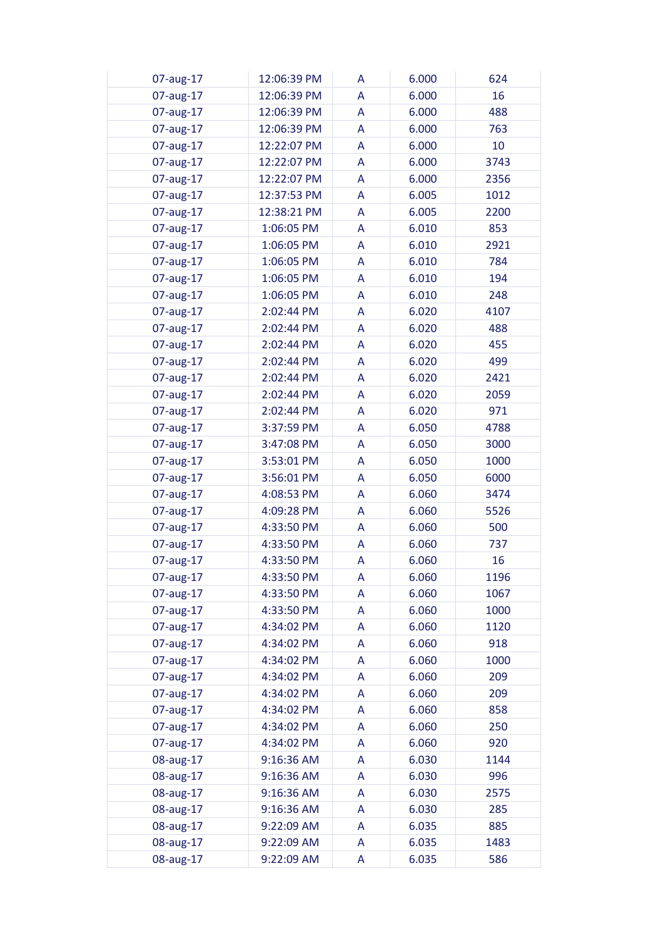| 07-aug-17 | 12:06:39 PM | A | 6.000 | 624  |
|-----------|-------------|---|-------|------|
| 07-aug-17 | 12:06:39 PM | A | 6.000 | 16   |
| 07-aug-17 | 12:06:39 PM | A | 6.000 | 488  |
| 07-aug-17 | 12:06:39 PM | A | 6.000 | 763  |
| 07-aug-17 | 12:22:07 PM | A | 6.000 | 10   |
| 07-aug-17 | 12:22:07 PM | A | 6.000 | 3743 |
| 07-aug-17 | 12:22:07 PM | A | 6.000 | 2356 |
| 07-aug-17 | 12:37:53 PM | A | 6.005 | 1012 |
| 07-aug-17 | 12:38:21 PM | A | 6.005 | 2200 |
| 07-aug-17 | 1:06:05 PM  | A | 6.010 | 853  |
| 07-aug-17 | 1:06:05 PM  | A | 6.010 | 2921 |
| 07-aug-17 | 1:06:05 PM  | A | 6.010 | 784  |
| 07-aug-17 | 1:06:05 PM  | A | 6.010 | 194  |
| 07-aug-17 | 1:06:05 PM  | A | 6.010 | 248  |
| 07-aug-17 | 2:02:44 PM  | A | 6.020 | 4107 |
| 07-aug-17 | 2:02:44 PM  | A | 6.020 | 488  |
|           | 2:02:44 PM  | A | 6.020 | 455  |
| 07-aug-17 | 2:02:44 PM  |   |       |      |
| 07-aug-17 |             | A | 6.020 | 499  |
| 07-aug-17 | 2:02:44 PM  | A | 6.020 | 2421 |
| 07-aug-17 | 2:02:44 PM  | A | 6.020 | 2059 |
| 07-aug-17 | 2:02:44 PM  | A | 6.020 | 971  |
| 07-aug-17 | 3:37:59 PM  | A | 6.050 | 4788 |
| 07-aug-17 | 3:47:08 PM  | A | 6.050 | 3000 |
| 07-aug-17 | 3:53:01 PM  | A | 6.050 | 1000 |
| 07-aug-17 | 3:56:01 PM  | A | 6.050 | 6000 |
| 07-aug-17 | 4:08:53 PM  | A | 6.060 | 3474 |
| 07-aug-17 | 4:09:28 PM  | A | 6.060 | 5526 |
| 07-aug-17 | 4:33:50 PM  | A | 6.060 | 500  |
| 07-aug-17 | 4:33:50 PM  | A | 6.060 | 737  |
| 07-aug-17 | 4:33:50 PM  | A | 6.060 | 16   |
| 07-aug-17 | 4:33:50 PM  | A | 6.060 | 1196 |
| 07-aug-17 | 4:33:50 PM  | A | 6.060 | 1067 |
| 07-aug-17 | 4:33:50 PM  | A | 6.060 | 1000 |
| 07-aug-17 | 4:34:02 PM  | A | 6.060 | 1120 |
| 07-aug-17 | 4:34:02 PM  | A | 6.060 | 918  |
| 07-aug-17 | 4:34:02 PM  | A | 6.060 | 1000 |
| 07-aug-17 | 4:34:02 PM  | A | 6.060 | 209  |
| 07-aug-17 | 4:34:02 PM  | A | 6.060 | 209  |
| 07-aug-17 | 4:34:02 PM  | A | 6.060 | 858  |
| 07-aug-17 | 4:34:02 PM  | A | 6.060 | 250  |
| 07-aug-17 | 4:34:02 PM  | A | 6.060 | 920  |
| 08-aug-17 | 9:16:36 AM  | A | 6.030 | 1144 |
| 08-aug-17 | 9:16:36 AM  | A | 6.030 | 996  |
| 08-aug-17 | 9:16:36 AM  | A | 6.030 | 2575 |
| 08-aug-17 | 9:16:36 AM  | A | 6.030 | 285  |
| 08-aug-17 | 9:22:09 AM  | A | 6.035 | 885  |
| 08-aug-17 | 9:22:09 AM  | A | 6.035 | 1483 |
| 08-aug-17 | 9:22:09 AM  | A | 6.035 | 586  |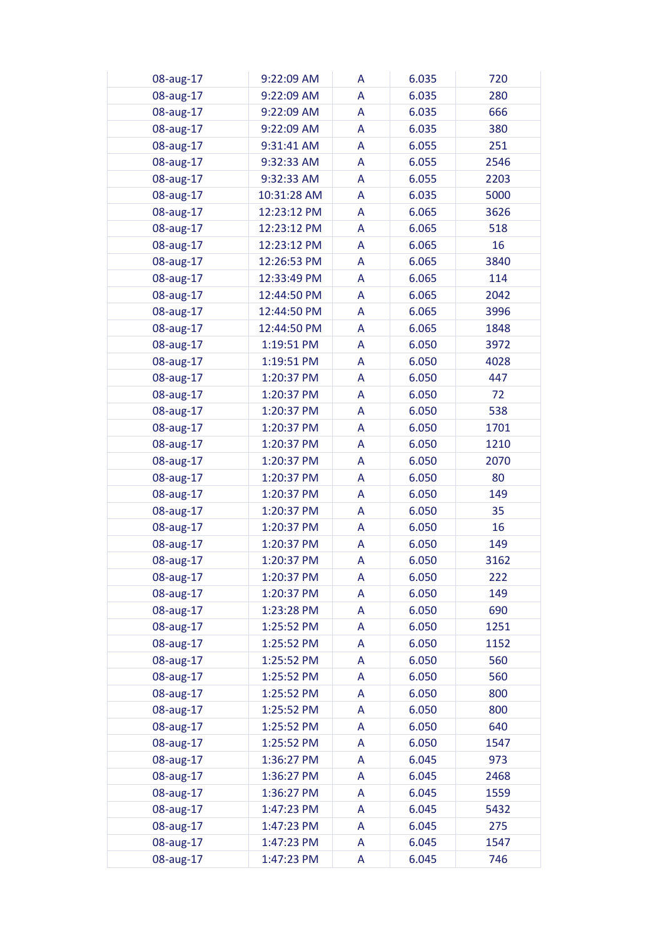| 08-aug-17 | 9:22:09 AM  | A | 6.035 | 720  |
|-----------|-------------|---|-------|------|
| 08-aug-17 | 9:22:09 AM  | A | 6.035 | 280  |
| 08-aug-17 | 9:22:09 AM  | A | 6.035 | 666  |
| 08-aug-17 | 9:22:09 AM  | A | 6.035 | 380  |
| 08-aug-17 | 9:31:41 AM  | A | 6.055 | 251  |
| 08-aug-17 | 9:32:33 AM  | A | 6.055 | 2546 |
| 08-aug-17 | 9:32:33 AM  | A | 6.055 | 2203 |
| 08-aug-17 | 10:31:28 AM | A | 6.035 | 5000 |
| 08-aug-17 | 12:23:12 PM | A | 6.065 | 3626 |
| 08-aug-17 | 12:23:12 PM | A | 6.065 | 518  |
| 08-aug-17 | 12:23:12 PM | A | 6.065 | 16   |
| 08-aug-17 | 12:26:53 PM | A | 6.065 | 3840 |
| 08-aug-17 | 12:33:49 PM | A | 6.065 | 114  |
| 08-aug-17 | 12:44:50 PM | A | 6.065 | 2042 |
| 08-aug-17 | 12:44:50 PM | A | 6.065 | 3996 |
|           | 12:44:50 PM | A | 6.065 | 1848 |
| 08-aug-17 |             |   |       |      |
| 08-aug-17 | 1:19:51 PM  | A | 6.050 | 3972 |
| 08-aug-17 | 1:19:51 PM  | A | 6.050 | 4028 |
| 08-aug-17 | 1:20:37 PM  | A | 6.050 | 447  |
| 08-aug-17 | 1:20:37 PM  | A | 6.050 | 72   |
| 08-aug-17 | 1:20:37 PM  | A | 6.050 | 538  |
| 08-aug-17 | 1:20:37 PM  | A | 6.050 | 1701 |
| 08-aug-17 | 1:20:37 PM  | A | 6.050 | 1210 |
| 08-aug-17 | 1:20:37 PM  | A | 6.050 | 2070 |
| 08-aug-17 | 1:20:37 PM  | A | 6.050 | 80   |
| 08-aug-17 | 1:20:37 PM  | A | 6.050 | 149  |
| 08-aug-17 | 1:20:37 PM  | A | 6.050 | 35   |
| 08-aug-17 | 1:20:37 PM  | A | 6.050 | 16   |
| 08-aug-17 | 1:20:37 PM  | A | 6.050 | 149  |
| 08-aug-17 | 1:20:37 PM  | A | 6.050 | 3162 |
| 08-aug-17 | 1:20:37 PM  | A | 6.050 | 222  |
| 08-aug-17 | 1:20:37 PM  | A | 6.050 | 149  |
| 08-aug-17 | 1:23:28 PM  | A | 6.050 | 690  |
| 08-aug-17 | 1:25:52 PM  | A | 6.050 | 1251 |
| 08-aug-17 | 1:25:52 PM  | A | 6.050 | 1152 |
| 08-aug-17 | 1:25:52 PM  | A | 6.050 | 560  |
| 08-aug-17 | 1:25:52 PM  | A | 6.050 | 560  |
| 08-aug-17 | 1:25:52 PM  | A | 6.050 | 800  |
| 08-aug-17 | 1:25:52 PM  | A | 6.050 | 800  |
| 08-aug-17 | 1:25:52 PM  | A | 6.050 | 640  |
| 08-aug-17 | 1:25:52 PM  | A | 6.050 | 1547 |
| 08-aug-17 | 1:36:27 PM  | A | 6.045 | 973  |
| 08-aug-17 | 1:36:27 PM  | A | 6.045 | 2468 |
| 08-aug-17 | 1:36:27 PM  | A | 6.045 | 1559 |
| 08-aug-17 | 1:47:23 PM  | A | 6.045 | 5432 |
| 08-aug-17 | 1:47:23 PM  | A | 6.045 | 275  |
| 08-aug-17 | 1:47:23 PM  | A | 6.045 | 1547 |
| 08-aug-17 | 1:47:23 PM  | A | 6.045 | 746  |
|           |             |   |       |      |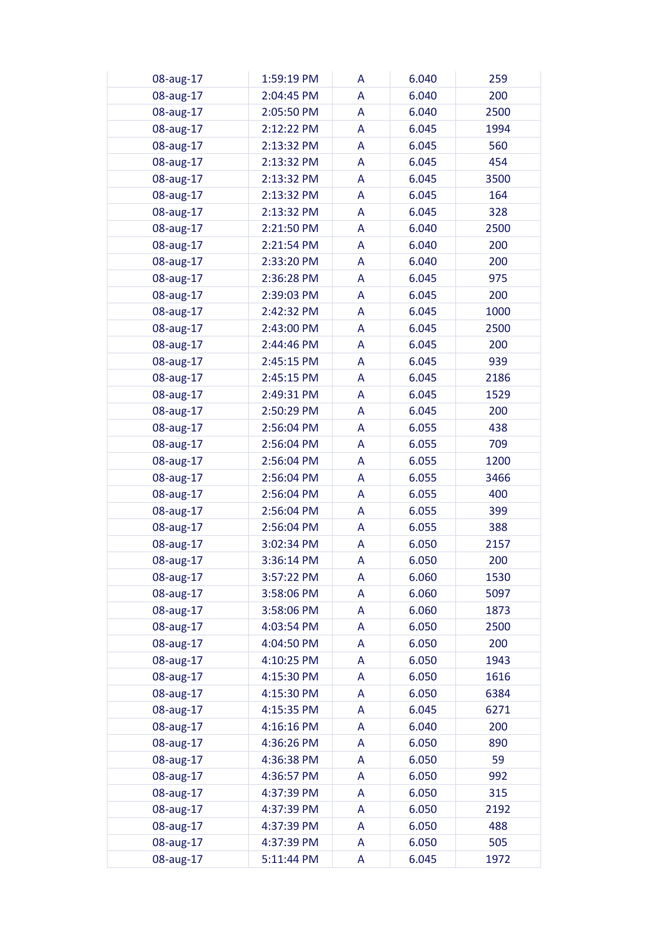| 08-aug-17 | 1:59:19 PM | A | 6.040 | 259  |
|-----------|------------|---|-------|------|
| 08-aug-17 | 2:04:45 PM | A | 6.040 | 200  |
| 08-aug-17 | 2:05:50 PM | A | 6.040 | 2500 |
| 08-aug-17 | 2:12:22 PM | A | 6.045 | 1994 |
| 08-aug-17 | 2:13:32 PM | A | 6.045 | 560  |
| 08-aug-17 | 2:13:32 PM | A | 6.045 | 454  |
| 08-aug-17 | 2:13:32 PM | A | 6.045 | 3500 |
| 08-aug-17 | 2:13:32 PM | A | 6.045 | 164  |
| 08-aug-17 | 2:13:32 PM | A | 6.045 | 328  |
| 08-aug-17 | 2:21:50 PM | A | 6.040 | 2500 |
| 08-aug-17 | 2:21:54 PM | A | 6.040 | 200  |
| 08-aug-17 | 2:33:20 PM | A | 6.040 | 200  |
| 08-aug-17 | 2:36:28 PM | A | 6.045 | 975  |
| 08-aug-17 | 2:39:03 PM | A | 6.045 | 200  |
| 08-aug-17 | 2:42:32 PM | A | 6.045 | 1000 |
|           | 2:43:00 PM | A | 6.045 | 2500 |
| 08-aug-17 |            |   |       |      |
| 08-aug-17 | 2:44:46 PM | A | 6.045 | 200  |
| 08-aug-17 | 2:45:15 PM | A | 6.045 | 939  |
| 08-aug-17 | 2:45:15 PM | A | 6.045 | 2186 |
| 08-aug-17 | 2:49:31 PM | A | 6.045 | 1529 |
| 08-aug-17 | 2:50:29 PM | A | 6.045 | 200  |
| 08-aug-17 | 2:56:04 PM | A | 6.055 | 438  |
| 08-aug-17 | 2:56:04 PM | A | 6.055 | 709  |
| 08-aug-17 | 2:56:04 PM | A | 6.055 | 1200 |
| 08-aug-17 | 2:56:04 PM | A | 6.055 | 3466 |
| 08-aug-17 | 2:56:04 PM | A | 6.055 | 400  |
| 08-aug-17 | 2:56:04 PM | A | 6.055 | 399  |
| 08-aug-17 | 2:56:04 PM | A | 6.055 | 388  |
| 08-aug-17 | 3:02:34 PM | A | 6.050 | 2157 |
| 08-aug-17 | 3:36:14 PM | A | 6.050 | 200  |
| 08-aug-17 | 3:57:22 PM | A | 6.060 | 1530 |
| 08-aug-17 | 3:58:06 PM | A | 6.060 | 5097 |
| 08-aug-17 | 3:58:06 PM | A | 6.060 | 1873 |
| 08-aug-17 | 4:03:54 PM | A | 6.050 | 2500 |
| 08-aug-17 | 4:04:50 PM | A | 6.050 | 200  |
| 08-aug-17 | 4:10:25 PM | A | 6.050 | 1943 |
| 08-aug-17 | 4:15:30 PM | A | 6.050 | 1616 |
| 08-aug-17 | 4:15:30 PM | A | 6.050 | 6384 |
| 08-aug-17 | 4:15:35 PM | A | 6.045 | 6271 |
| 08-aug-17 | 4:16:16 PM | A | 6.040 | 200  |
| 08-aug-17 | 4:36:26 PM | A | 6.050 | 890  |
| 08-aug-17 | 4:36:38 PM | A | 6.050 | 59   |
| 08-aug-17 | 4:36:57 PM | A | 6.050 | 992  |
| 08-aug-17 | 4:37:39 PM | A | 6.050 | 315  |
| 08-aug-17 | 4:37:39 PM | A | 6.050 | 2192 |
| 08-aug-17 | 4:37:39 PM | A | 6.050 | 488  |
| 08-aug-17 | 4:37:39 PM | A | 6.050 | 505  |
| 08-aug-17 | 5:11:44 PM | A | 6.045 | 1972 |
|           |            |   |       |      |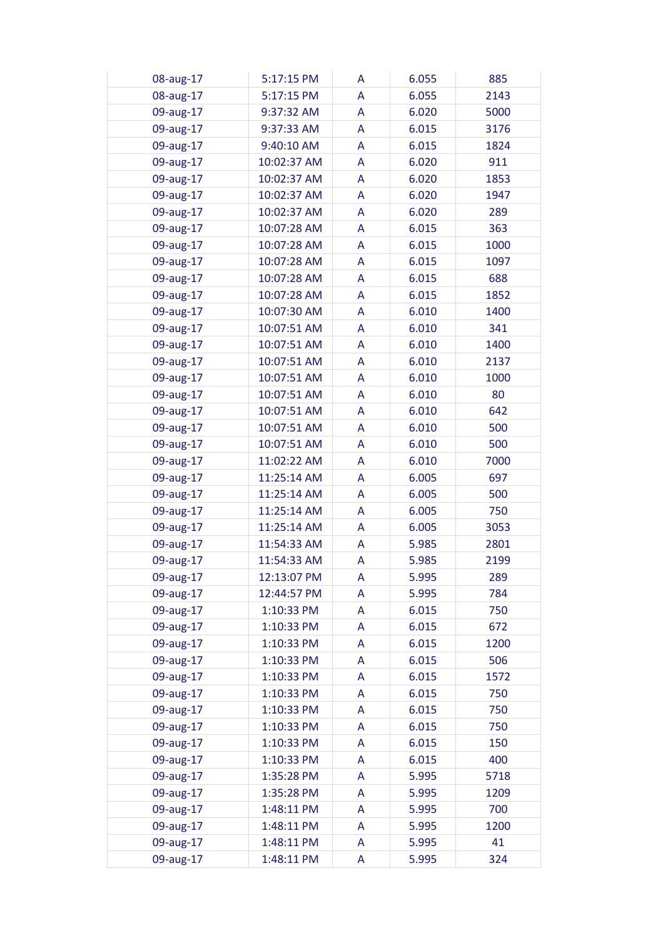| 08-aug-17 | 5:17:15 PM  | A | 6.055 | 885  |
|-----------|-------------|---|-------|------|
| 08-aug-17 | 5:17:15 PM  | A | 6.055 | 2143 |
| 09-aug-17 | 9:37:32 AM  | A | 6.020 | 5000 |
| 09-aug-17 | 9:37:33 AM  | A | 6.015 | 3176 |
| 09-aug-17 | 9:40:10 AM  | A | 6.015 | 1824 |
| 09-aug-17 | 10:02:37 AM | A | 6.020 | 911  |
| 09-aug-17 | 10:02:37 AM | A | 6.020 | 1853 |
| 09-aug-17 | 10:02:37 AM | A | 6.020 | 1947 |
| 09-aug-17 | 10:02:37 AM | A | 6.020 | 289  |
| 09-aug-17 | 10:07:28 AM | A | 6.015 | 363  |
| 09-aug-17 | 10:07:28 AM | A | 6.015 | 1000 |
| 09-aug-17 | 10:07:28 AM | A | 6.015 | 1097 |
| 09-aug-17 | 10:07:28 AM | A | 6.015 | 688  |
| 09-aug-17 | 10:07:28 AM | A | 6.015 | 1852 |
| 09-aug-17 | 10:07:30 AM | A | 6.010 | 1400 |
|           | 10:07:51 AM | A | 6.010 | 341  |
| 09-aug-17 |             |   |       |      |
| 09-aug-17 | 10:07:51 AM | A | 6.010 | 1400 |
| 09-aug-17 | 10:07:51 AM | A | 6.010 | 2137 |
| 09-aug-17 | 10:07:51 AM | A | 6.010 | 1000 |
| 09-aug-17 | 10:07:51 AM | A | 6.010 | 80   |
| 09-aug-17 | 10:07:51 AM | A | 6.010 | 642  |
| 09-aug-17 | 10:07:51 AM | A | 6.010 | 500  |
| 09-aug-17 | 10:07:51 AM | A | 6.010 | 500  |
| 09-aug-17 | 11:02:22 AM | A | 6.010 | 7000 |
| 09-aug-17 | 11:25:14 AM | A | 6.005 | 697  |
| 09-aug-17 | 11:25:14 AM | A | 6.005 | 500  |
| 09-aug-17 | 11:25:14 AM | A | 6.005 | 750  |
| 09-aug-17 | 11:25:14 AM | A | 6.005 | 3053 |
| 09-aug-17 | 11:54:33 AM | A | 5.985 | 2801 |
| 09-aug-17 | 11:54:33 AM | A | 5.985 | 2199 |
| 09-aug-17 | 12:13:07 PM | A | 5.995 | 289  |
| 09-aug-17 | 12:44:57 PM | A | 5.995 | 784  |
| 09-aug-17 | 1:10:33 PM  | A | 6.015 | 750  |
| 09-aug-17 | 1:10:33 PM  | A | 6.015 | 672  |
| 09-aug-17 | 1:10:33 PM  | A | 6.015 | 1200 |
| 09-aug-17 | 1:10:33 PM  | A | 6.015 | 506  |
| 09-aug-17 | 1:10:33 PM  | A | 6.015 | 1572 |
| 09-aug-17 | 1:10:33 PM  | A | 6.015 | 750  |
| 09-aug-17 | 1:10:33 PM  | A | 6.015 | 750  |
| 09-aug-17 | 1:10:33 PM  | A | 6.015 | 750  |
| 09-aug-17 | 1:10:33 PM  | A | 6.015 | 150  |
| 09-aug-17 | 1:10:33 PM  | A | 6.015 | 400  |
| 09-aug-17 | 1:35:28 PM  | A | 5.995 | 5718 |
| 09-aug-17 | 1:35:28 PM  | A | 5.995 | 1209 |
| 09-aug-17 | 1:48:11 PM  | A | 5.995 | 700  |
| 09-aug-17 | 1:48:11 PM  | A | 5.995 | 1200 |
| 09-aug-17 | 1:48:11 PM  | A | 5.995 | 41   |
| 09-aug-17 | 1:48:11 PM  | A | 5.995 | 324  |
|           |             |   |       |      |